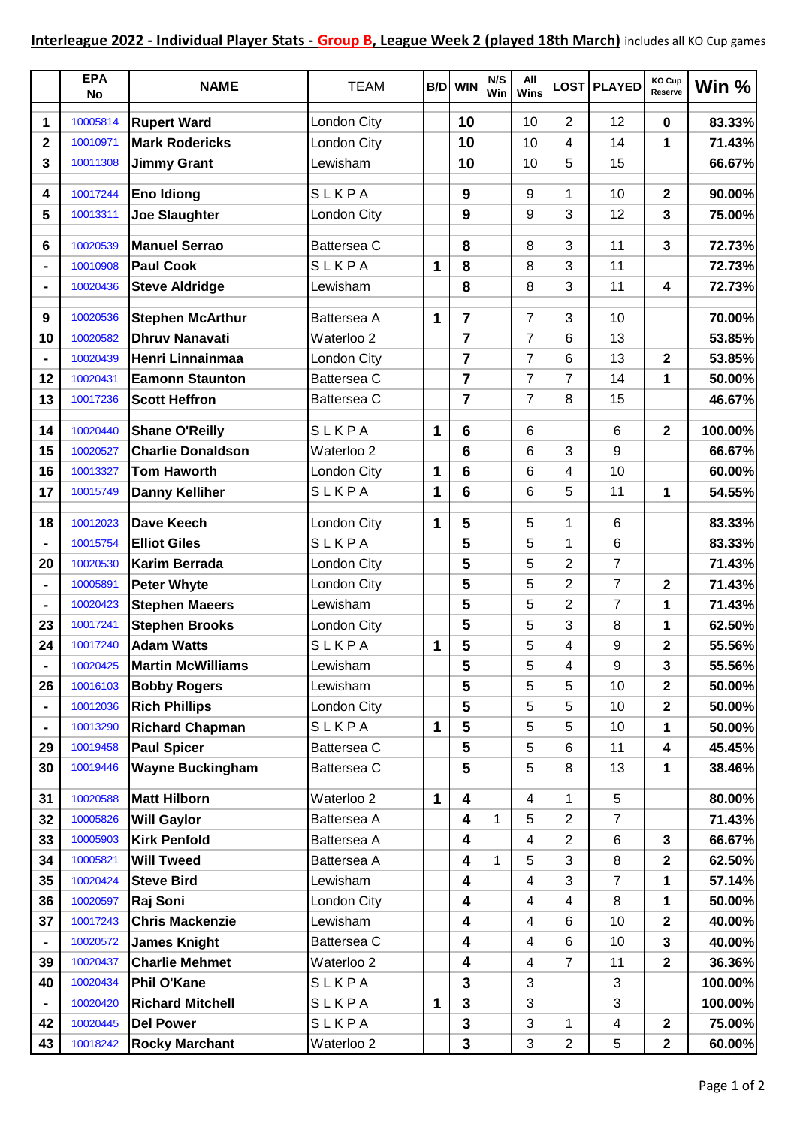|             | <b>EPA</b><br>No | <b>NAME</b>              | <b>TEAM</b> |   | <b>B/D</b> WIN | N/S<br>Win   | All<br>Wins |                | LOST PLAYED     | KO Cup<br>Reserve | Win %   |
|-------------|------------------|--------------------------|-------------|---|----------------|--------------|-------------|----------------|-----------------|-------------------|---------|
| 1           | 10005814         | <b>Rupert Ward</b>       | London City |   | 10             |              | 10          | 2              | 12              | $\mathbf 0$       | 83.33%  |
| $\mathbf 2$ | 10010971         | <b>Mark Rodericks</b>    | London City |   | 10             |              | 10          | 4              | 14              | 1                 | 71.43%  |
| 3           | 10011308         | <b>Jimmy Grant</b>       | Lewisham    |   | 10             |              | 10          | 5              | 15              |                   | 66.67%  |
| 4           | 10017244         | <b>Eno Idiong</b>        | SLKPA       |   | 9              |              | 9           | 1              | 10              | $\mathbf 2$       | 90.00%  |
| 5           | 10013311         | <b>Joe Slaughter</b>     | London City |   | 9              |              | 9           | 3              | 12              | 3                 | 75.00%  |
|             |                  |                          |             |   |                |              |             |                |                 |                   |         |
| 6           | 10020539         | <b>Manuel Serrao</b>     | Battersea C |   | 8              |              | 8           | 3              | 11              | 3                 | 72.73%  |
|             | 10010908         | <b>Paul Cook</b>         | SLKPA       | 1 | 8              |              | 8           | 3              | 11              |                   | 72.73%  |
|             | 10020436         | <b>Steve Aldridge</b>    | Lewisham    |   | 8              |              | 8           | 3              | 11              | 4                 | 72.73%  |
| 9           | 10020536         | <b>Stephen McArthur</b>  | Battersea A | 1 | $\overline{7}$ |              | 7           | 3              | 10              |                   | 70.00%  |
| 10          | 10020582         | <b>Dhruv Nanavati</b>    | Waterloo 2  |   | $\overline{7}$ |              | 7           | 6              | 13              |                   | 53.85%  |
|             | 10020439         | Henri Linnainmaa         | London City |   | $\overline{7}$ |              | 7           | 6              | 13              | $\mathbf 2$       | 53.85%  |
| 12          | 10020431         | <b>Eamonn Staunton</b>   | Battersea C |   | $\overline{7}$ |              | 7           | 7              | 14              | 1                 | 50.00%  |
| 13          | 10017236         | <b>Scott Heffron</b>     | Battersea C |   | $\overline{7}$ |              | 7           | 8              | 15              |                   | 46.67%  |
| 14          | 10020440         | <b>Shane O'Reilly</b>    | SLKPA       | 1 | 6              |              | 6           |                | 6               | $\mathbf 2$       | 100.00% |
| 15          | 10020527         | <b>Charlie Donaldson</b> | Waterloo 2  |   | 6              |              | 6           | 3              | 9               |                   | 66.67%  |
| 16          | 10013327         | <b>Tom Haworth</b>       | London City | 1 | 6              |              | 6           | 4              | 10              |                   | 60.00%  |
| 17          | 10015749         | <b>Danny Kelliher</b>    | SLKPA       | 1 | 6              |              | 6           | 5              | 11              | 1                 | 54.55%  |
| 18          | 10012023         | <b>Dave Keech</b>        | London City | 1 | 5              |              | 5           | 1              | 6               |                   | 83.33%  |
|             | 10015754         | <b>Elliot Giles</b>      | SLKPA       |   | 5              |              | 5           | 1              | $6\phantom{1}6$ |                   | 83.33%  |
| 20          | 10020530         | <b>Karim Berrada</b>     | London City |   | 5              |              | 5           | 2              | $\overline{7}$  |                   | 71.43%  |
|             | 10005891         | <b>Peter Whyte</b>       | London City |   | 5              |              | 5           | $\overline{2}$ | $\overline{7}$  | 2                 | 71.43%  |
|             | 10020423         | <b>Stephen Maeers</b>    | Lewisham    |   | 5              |              | 5           | 2              | $\overline{7}$  | 1                 | 71.43%  |
| 23          | 10017241         | <b>Stephen Brooks</b>    | London City |   | 5              |              | 5           | 3              | 8               | 1                 | 62.50%  |
| 24          | 10017240         | <b>Adam Watts</b>        | SLKPA       | 1 | 5              |              | 5           | 4              | 9               | 2                 | 55.56%  |
|             | 10020425         | <b>Martin McWilliams</b> | Lewisham    |   | 5              |              | 5           | 4              | 9               | 3                 | 55.56%  |
| 26          | 10016103         | <b>Bobby Rogers</b>      | Lewisham    |   | 5              |              | 5           | 5              | 10              | $\mathbf 2$       | 50.00%  |
|             | 10012036         | <b>Rich Phillips</b>     | London City |   | 5              |              | 5           | 5              | 10              | $\mathbf 2$       | 50.00%  |
|             | 10013290         | <b>Richard Chapman</b>   | SLKPA       | 1 | 5              |              | 5           | 5              | 10              | 1                 | 50.00%  |
| 29          | 10019458         | <b>Paul Spicer</b>       | Battersea C |   | 5              |              | 5           | 6              | 11              | 4                 | 45.45%  |
| 30          | 10019446         | <b>Wayne Buckingham</b>  | Battersea C |   | 5              |              | 5           | 8              | 13              | 1                 | 38.46%  |
| 31          | 10020588         | <b>Matt Hilborn</b>      | Waterloo 2  | 1 | 4              |              | 4           | 1              | 5               |                   | 80.00%  |
| 32          | 10005826         | <b>Will Gaylor</b>       | Battersea A |   | 4              | $\mathbf{1}$ | 5           | 2              | 7               |                   | 71.43%  |
| 33          | 10005903         | <b>Kirk Penfold</b>      | Battersea A |   | 4              |              | 4           | $\overline{2}$ | 6               | 3                 | 66.67%  |
| 34          | 10005821         | <b>Will Tweed</b>        | Battersea A |   | 4              | $\mathbf{1}$ | 5           | 3              | 8               | $\mathbf{2}$      | 62.50%  |
| 35          | 10020424         | <b>Steve Bird</b>        | Lewisham    |   | 4              |              | 4           | 3              | 7               | 1                 | 57.14%  |
| 36          | 10020597         | Raj Soni                 | London City |   | 4              |              | 4           | 4              | 8               | 1                 | 50.00%  |
| 37          | 10017243         | <b>Chris Mackenzie</b>   | Lewisham    |   | 4              |              | 4           | 6              | 10              | $\mathbf 2$       | 40.00%  |
|             | 10020572         | <b>James Knight</b>      | Battersea C |   | 4              |              | 4           | 6              | 10              | 3                 | 40.00%  |
| 39          | 10020437         | <b>Charlie Mehmet</b>    | Waterloo 2  |   | 4              |              | 4           | $\overline{7}$ | 11              | $\mathbf 2$       | 36.36%  |
| 40          | 10020434         | <b>Phil O'Kane</b>       | SLKPA       |   | 3              |              | 3           |                | 3               |                   | 100.00% |
|             | 10020420         | <b>Richard Mitchell</b>  | SLKPA       | 1 | 3              |              | 3           |                | 3               |                   | 100.00% |
| 42          | 10020445         | <b>Del Power</b>         | SLKPA       |   | 3              |              | 3           | 1              | 4               | $\mathbf 2$       | 75.00%  |
| 43          | 10018242         | <b>Rocky Marchant</b>    | Waterloo 2  |   | 3              |              | 3           | 2              | 5               | $\mathbf 2$       | 60.00%  |